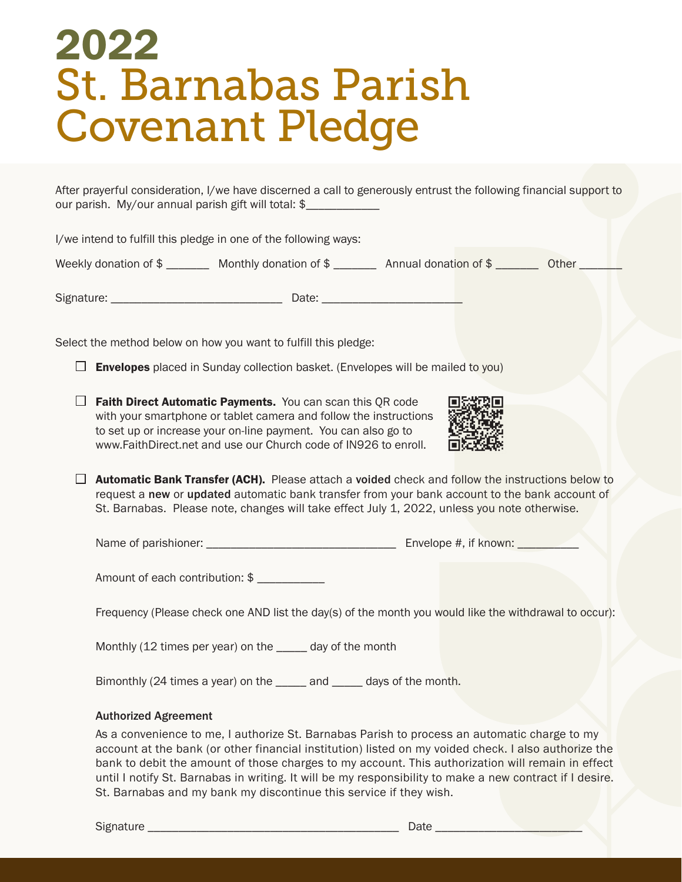# St. Barnabas Parish Covenant Pledge 2022

After prayerful consideration, I/we have discerned a call to generously entrust the following financial support to our parish. My/our annual parish gift will total: \$\_\_\_\_\_\_\_\_\_\_\_\_

I/we intend to fulfill this pledge in one of the following ways: Weekly donation of \$ \_\_\_\_\_\_\_\_ Monthly donation of \$ \_\_\_\_\_\_\_ Annual donation of \$ \_\_\_\_\_\_\_ Other \_\_\_\_\_ Signature: \_\_\_\_\_\_\_\_\_\_\_\_\_\_\_\_\_\_\_\_\_\_\_\_\_\_\_\_ Date: \_\_\_\_\_\_\_\_\_\_\_\_\_\_\_\_\_\_\_\_\_\_\_ Select the method below on how you want to fulfill this pledge:  $\Box$  Envelopes placed in Sunday collection basket. (Envelopes will be mailed to you)  $\Box$  Faith Direct Automatic Payments. You can scan this QR code with your smartphone or tablet camera and follow the instructions to set up or increase your on-line payment. You can also go to www.FaithDirect.net and use our Church code of IN926 to enroll.  $\Box$  **Automatic Bank Transfer (ACH).** Please attach a voided check and follow the instructions below to request a new or updated automatic bank transfer from your bank account to the bank account of St. Barnabas. Please note, changes will take effect July 1, 2022, unless you note otherwise.

Name of parishioner: \_\_\_\_\_\_\_\_\_\_\_\_\_\_\_\_\_\_\_\_\_\_\_\_\_\_\_\_\_\_\_ Envelope #, if known: \_\_\_\_\_\_\_\_\_\_

Amount of each contribution: \$

Frequency (Please check one AND list the day(s) of the month you would like the withdrawal to occur):

Monthly (12 times per year) on the \_\_\_\_\_ day of the month

Bimonthly (24 times a year) on the \_\_\_\_\_ and \_\_\_\_\_ days of the month.

#### Authorized Agreement

As a convenience to me, I authorize St. Barnabas Parish to process an automatic charge to my account at the bank (or other financial institution) listed on my voided check. I also authorize the bank to debit the amount of those charges to my account. This authorization will remain in effect until I notify St. Barnabas in writing. It will be my responsibility to make a new contract if I desire. St. Barnabas and my bank my discontinue this service if they wish.

Signature \_\_\_\_\_\_\_\_\_\_\_\_\_\_\_\_\_\_\_\_\_\_\_\_\_\_\_\_\_\_\_\_\_\_\_\_\_\_\_\_\_ Date \_\_\_\_\_\_\_\_\_\_\_\_\_\_\_\_\_\_\_\_\_\_\_\_